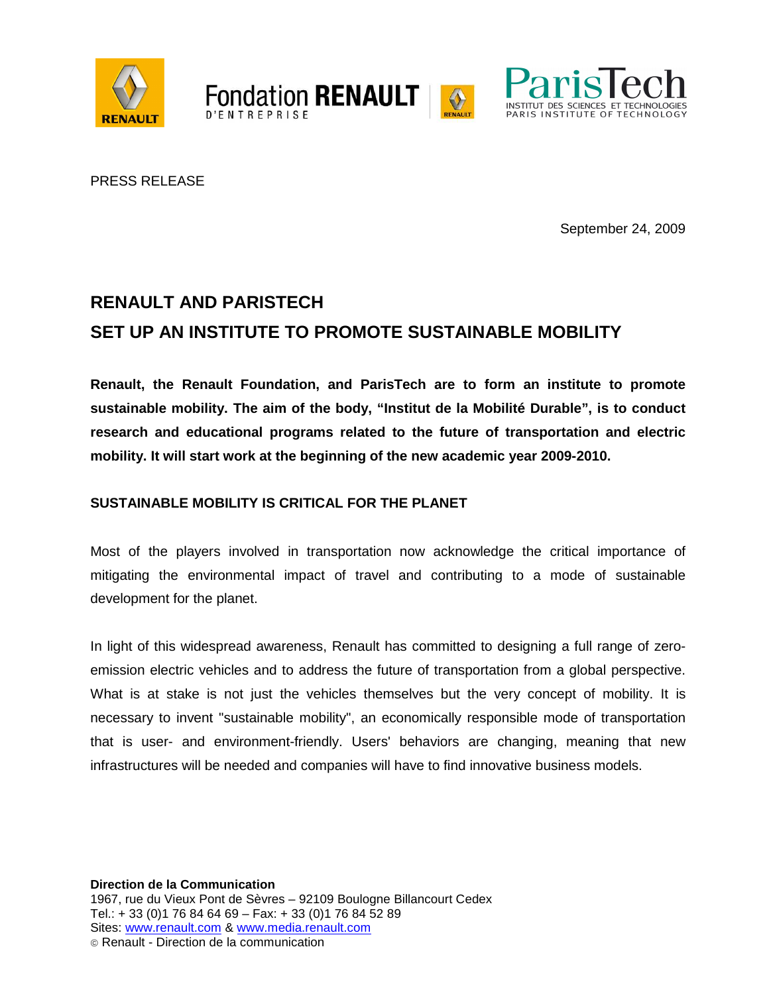





PRESS RELEASE

September 24, 2009

# **RENAULT AND PARISTECH SET UP AN INSTITUTE TO PROMOTE SUSTAINABLE MOBILITY**

**Fondation RENAULT** 

**Renault, the Renault Foundation, and ParisTech are to form an institute to promote sustainable mobility. The aim of the body, "Institut de la Mobilité Durable", is to conduct research and educational programs related to the future of transportation and electric mobility. It will start work at the beginning of the new academic year 2009-2010.** 

## **SUSTAINABLE MOBILITY IS CRITICAL FOR THE PLANET**

Most of the players involved in transportation now acknowledge the critical importance of mitigating the environmental impact of travel and contributing to a mode of sustainable development for the planet.

In light of this widespread awareness, Renault has committed to designing a full range of zeroemission electric vehicles and to address the future of transportation from a global perspective. What is at stake is not just the vehicles themselves but the very concept of mobility. It is necessary to invent "sustainable mobility", an economically responsible mode of transportation that is user- and environment-friendly. Users' behaviors are changing, meaning that new infrastructures will be needed and companies will have to find innovative business models.

**Direction de la Communication**  1967, rue du Vieux Pont de Sèvres – 92109 Boulogne Billancourt Cedex Tel.: + 33 (0)1 76 84 64 69 – Fax: + 33 (0)1 76 84 52 89 Sites: www.renault.com & www.media.renault.com Renault - Direction de la communication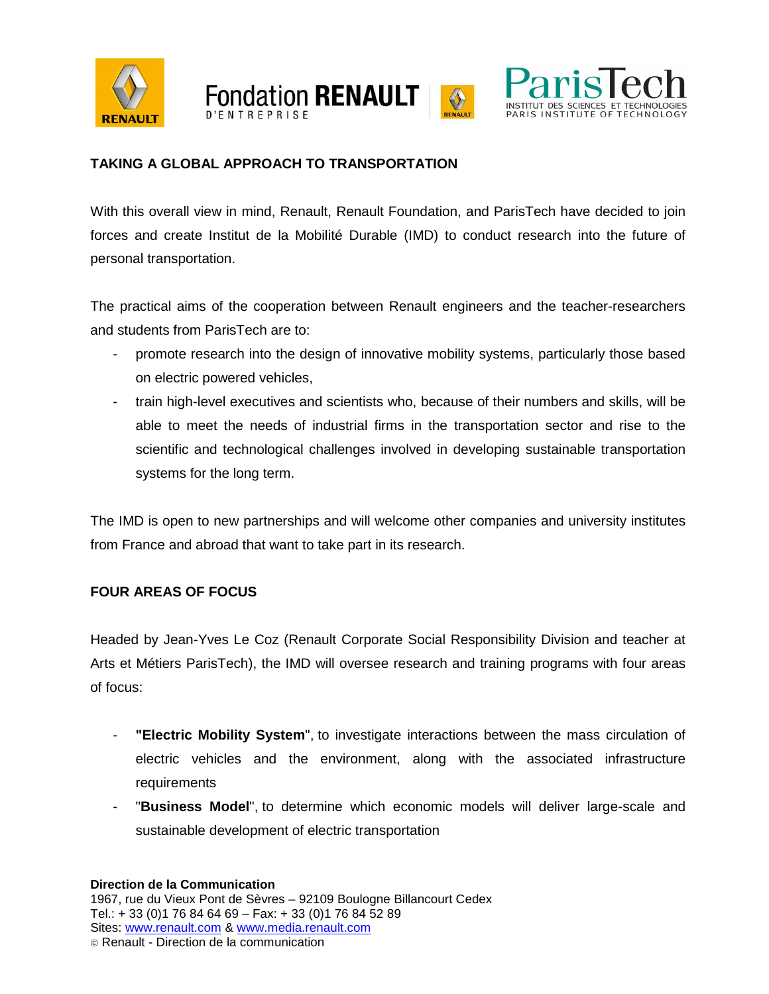





## **TAKING A GLOBAL APPROACH TO TRANSPORTATION**

With this overall view in mind, Renault, Renault Foundation, and ParisTech have decided to join forces and create Institut de la Mobilité Durable (IMD) to conduct research into the future of personal transportation.

The practical aims of the cooperation between Renault engineers and the teacher-researchers and students from ParisTech are to:

- promote research into the design of innovative mobility systems, particularly those based on electric powered vehicles,
- train high-level executives and scientists who, because of their numbers and skills, will be able to meet the needs of industrial firms in the transportation sector and rise to the scientific and technological challenges involved in developing sustainable transportation systems for the long term.

The IMD is open to new partnerships and will welcome other companies and university institutes from France and abroad that want to take part in its research.

## **FOUR AREAS OF FOCUS**

Headed by Jean-Yves Le Coz (Renault Corporate Social Responsibility Division and teacher at Arts et Métiers ParisTech), the IMD will oversee research and training programs with four areas of focus:

- **"Electric Mobility System**", to investigate interactions between the mass circulation of electric vehicles and the environment, along with the associated infrastructure requirements
- "Business Model", to determine which economic models will deliver large-scale and sustainable development of electric transportation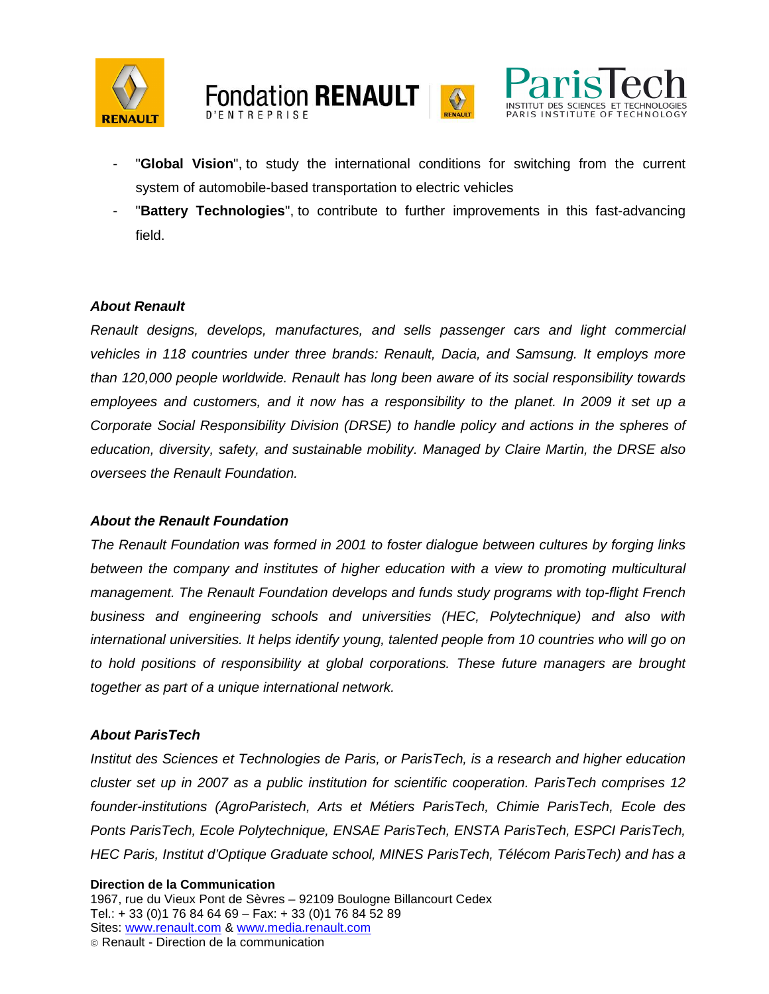





- "**Global Vision**", to study the international conditions for switching from the current system of automobile-based transportation to electric vehicles
- "**Battery Technologies**", to contribute to further improvements in this fast-advancing field.

#### **About Renault**

Renault designs, develops, manufactures, and sells passenger cars and light commercial vehicles in 118 countries under three brands: Renault, Dacia, and Samsung. It employs more than 120,000 people worldwide. Renault has long been aware of its social responsibility towards employees and customers, and it now has a responsibility to the planet. In 2009 it set up a Corporate Social Responsibility Division (DRSE) to handle policy and actions in the spheres of education, diversity, safety, and sustainable mobility. Managed by Claire Martin, the DRSE also oversees the Renault Foundation.

#### **About the Renault Foundation**

The Renault Foundation was formed in 2001 to foster dialogue between cultures by forging links between the company and institutes of higher education with a view to promoting multicultural management. The Renault Foundation develops and funds study programs with top-flight French business and engineering schools and universities (HEC, Polytechnique) and also with international universities. It helps identify young, talented people from 10 countries who will go on to hold positions of responsibility at global corporations. These future managers are brought together as part of a unique international network.

#### **About ParisTech**

Institut des Sciences et Technologies de Paris, or ParisTech, is a research and higher education cluster set up in 2007 as a public institution for scientific cooperation. ParisTech comprises 12 founder-institutions (AgroParistech, Arts et Métiers ParisTech, Chimie ParisTech, Ecole des Ponts ParisTech, Ecole Polytechnique, ENSAE ParisTech, ENSTA ParisTech, ESPCI ParisTech, HEC Paris, Institut d'Optique Graduate school, MINES ParisTech, Télécom ParisTech) and has a

#### **Direction de la Communication**

1967, rue du Vieux Pont de Sèvres – 92109 Boulogne Billancourt Cedex Tel.: + 33 (0)1 76 84 64 69 – Fax: + 33 (0)1 76 84 52 89 Sites: www.renault.com & www.media.renault.com Renault - Direction de la communication